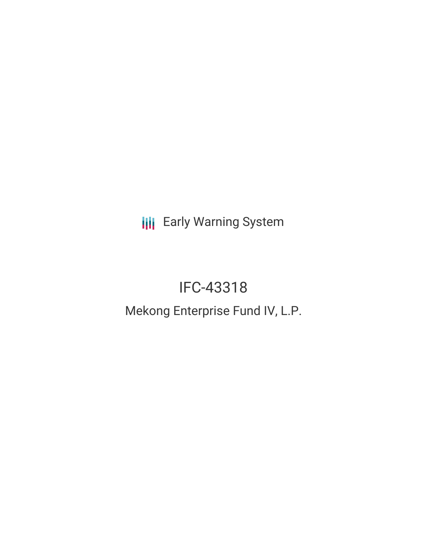**III** Early Warning System

# IFC-43318

# Mekong Enterprise Fund IV, L.P.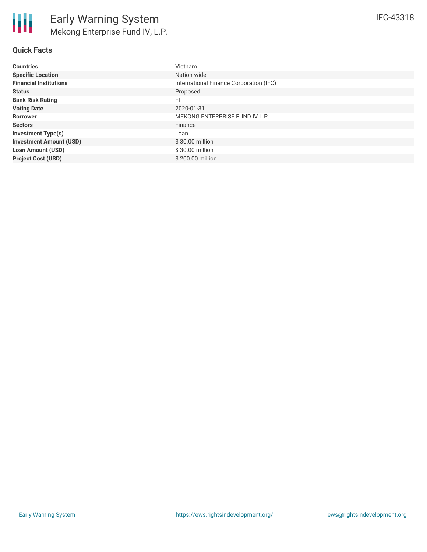#### **Quick Facts**

| <b>Countries</b>               | <b>Vietnam</b>                          |
|--------------------------------|-----------------------------------------|
| <b>Specific Location</b>       | Nation-wide                             |
| <b>Financial Institutions</b>  | International Finance Corporation (IFC) |
| <b>Status</b>                  | Proposed                                |
| <b>Bank Risk Rating</b>        | FI                                      |
| <b>Voting Date</b>             | 2020-01-31                              |
| <b>Borrower</b>                | MEKONG ENTERPRISE FUND IV L.P.          |
| <b>Sectors</b>                 | Finance                                 |
| <b>Investment Type(s)</b>      | Loan                                    |
| <b>Investment Amount (USD)</b> | $$30.00$ million                        |
| <b>Loan Amount (USD)</b>       | \$30.00 million                         |
| <b>Project Cost (USD)</b>      | \$200.00 million                        |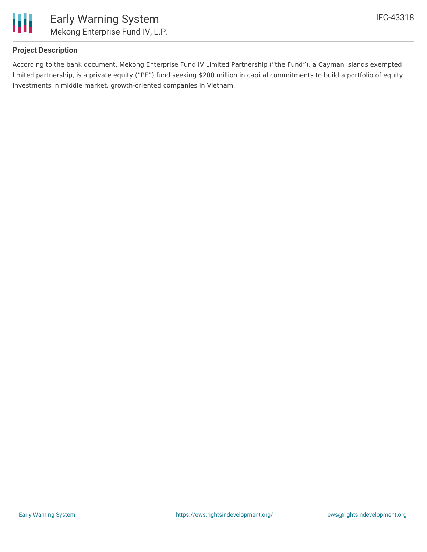

#### **Project Description**

According to the bank document, Mekong Enterprise Fund IV Limited Partnership ("the Fund"), a Cayman Islands exempted limited partnership, is a private equity ("PE") fund seeking \$200 million in capital commitments to build a portfolio of equity investments in middle market, growth-oriented companies in Vietnam.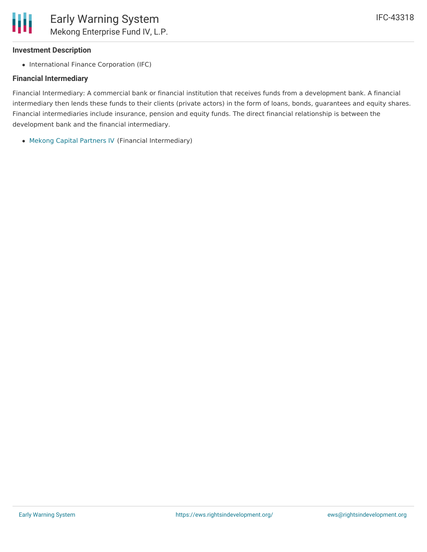## **Investment Description**

• International Finance Corporation (IFC)

## **Financial Intermediary**

Financial Intermediary: A commercial bank or financial institution that receives funds from a development bank. A financial intermediary then lends these funds to their clients (private actors) in the form of loans, bonds, guarantees and equity shares. Financial intermediaries include insurance, pension and equity funds. The direct financial relationship is between the development bank and the financial intermediary.

Mekong Capital [Partners](file:///actor/3269/) IV (Financial Intermediary)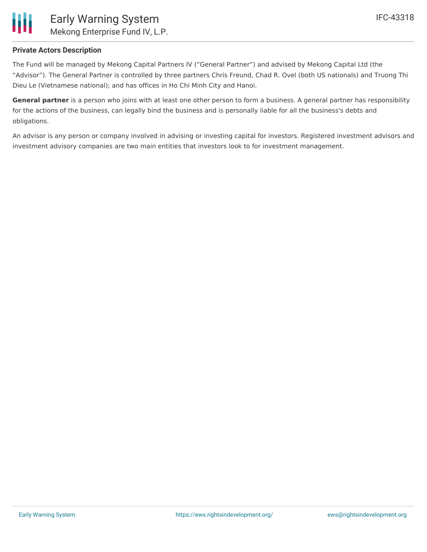

#### **Private Actors Description**

The Fund will be managed by Mekong Capital Partners IV ("General Partner") and advised by Mekong Capital Ltd (the "Advisor"). The General Partner is controlled by three partners Chris Freund, Chad R. Ovel (both US nationals) and Truong Thi Dieu Le (Vietnamese national); and has offices in Ho Chi Minh City and Hanoi.

**General partner** is a person who joins with at least one other person to form a business. A general partner has responsibility for the actions of the business, can legally bind the business and is personally liable for all the business's debts and obligations.

An advisor is any person or company involved in advising or investing capital for investors. Registered investment advisors and investment advisory companies are two main entities that investors look to for investment management.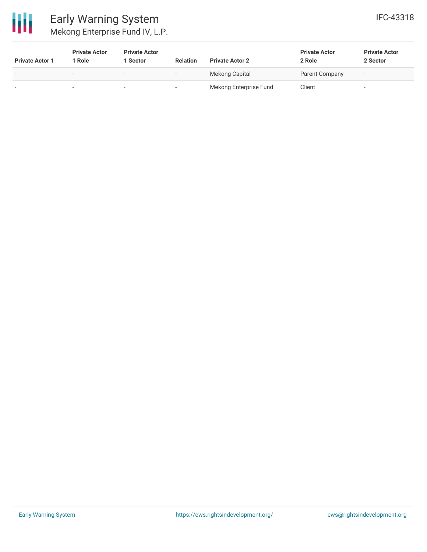

| <b>Private Actor 1</b>   | <b>Private Actor</b><br><sup>1</sup> Role | <b>Private Actor</b><br>1 Sector | <b>Relation</b> | <b>Private Actor 2</b> | <b>Private Actor</b><br>2 Role | <b>Private Actor</b><br>2 Sector |
|--------------------------|-------------------------------------------|----------------------------------|-----------------|------------------------|--------------------------------|----------------------------------|
| $\overline{\phantom{0}}$ | $\overline{\phantom{a}}$                  | $\overline{\phantom{a}}$         |                 | Mekong Capital         | Parent Company                 | $\overline{\phantom{a}}$         |
| $\overline{\phantom{0}}$ |                                           |                                  |                 | Mekong Enterprise Fund | Client                         | $\sim$                           |